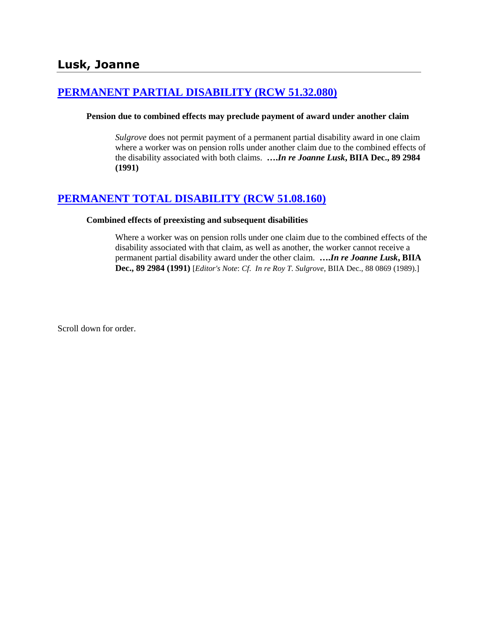## **[PERMANENT PARTIAL DISABILITY \(RCW 51.32.080\)](http://www.biia.wa.gov/SDSubjectIndex.html#PERMANENT_PARTIAL_DISABILITY)**

### **Pension due to combined effects may preclude payment of award under another claim**

*Sulgrove* does not permit payment of a permanent partial disability award in one claim where a worker was on pension rolls under another claim due to the combined effects of the disability associated with both claims. **….***In re Joanne Lusk***, BIIA Dec., 89 2984 (1991)** 

## **[PERMANENT TOTAL DISABILITY \(RCW 51.08.160\)](http://www.biia.wa.gov/SDSubjectIndex.html#PERMANENT_TOTAL_DISABILITY)**

#### **Combined effects of preexisting and subsequent disabilities**

Where a worker was on pension rolls under one claim due to the combined effects of the disability associated with that claim, as well as another, the worker cannot receive a permanent partial disability award under the other claim. **….***In re Joanne Lusk***, BIIA Dec., 89 2984 (1991)** [*Editor's Note*: *Cf*. *In re Roy T. Sulgrove*, BIIA Dec.[, 88 0869](http://www.biia.wa.gov/significantdecisions/880869.htm) (1989).]

Scroll down for order.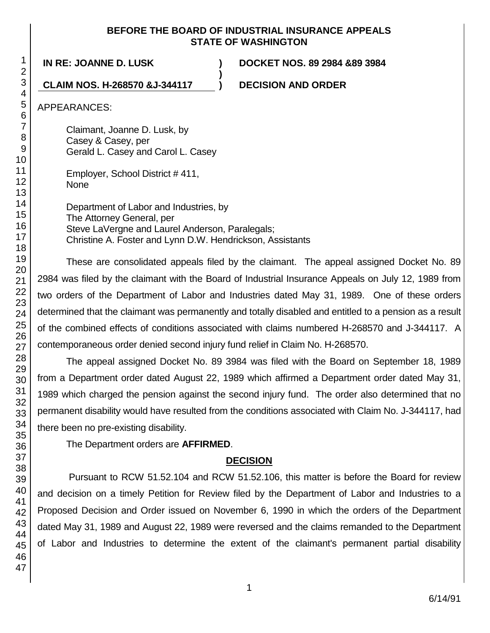### **BEFORE THE BOARD OF INDUSTRIAL INSURANCE APPEALS STATE OF WASHINGTON**

**)**

**IN RE: JOANNE D. LUSK ) DOCKET NOS. 89 2984 &89 3984**

### **CLAIM NOS. H-268570 &J-344117 ) DECISION AND ORDER**

APPEARANCES:

Claimant, Joanne D. Lusk, by Casey & Casey, per Gerald L. Casey and Carol L. Casey

Employer, School District # 411, None

Department of Labor and Industries, by The Attorney General, per Steve LaVergne and Laurel Anderson, Paralegals; Christine A. Foster and Lynn D.W. Hendrickson, Assistants

These are consolidated appeals filed by the claimant. The appeal assigned Docket No. 89 2984 was filed by the claimant with the Board of Industrial Insurance Appeals on July 12, 1989 from two orders of the Department of Labor and Industries dated May 31, 1989. One of these orders determined that the claimant was permanently and totally disabled and entitled to a pension as a result of the combined effects of conditions associated with claims numbered H-268570 and J-344117. A contemporaneous order denied second injury fund relief in Claim No. H-268570.

The appeal assigned Docket No. 89 3984 was filed with the Board on September 18, 1989 from a Department order dated August 22, 1989 which affirmed a Department order dated May 31, 1989 which charged the pension against the second injury fund. The order also determined that no permanent disability would have resulted from the conditions associated with Claim No. J-344117, had there been no pre-existing disability.

The Department orders are **AFFIRMED**.

# **DECISION**

Pursuant to RCW 51.52.104 and RCW 51.52.106, this matter is before the Board for review and decision on a timely Petition for Review filed by the Department of Labor and Industries to a Proposed Decision and Order issued on November 6, 1990 in which the orders of the Department dated May 31, 1989 and August 22, 1989 were reversed and the claims remanded to the Department of Labor and Industries to determine the extent of the claimant's permanent partial disability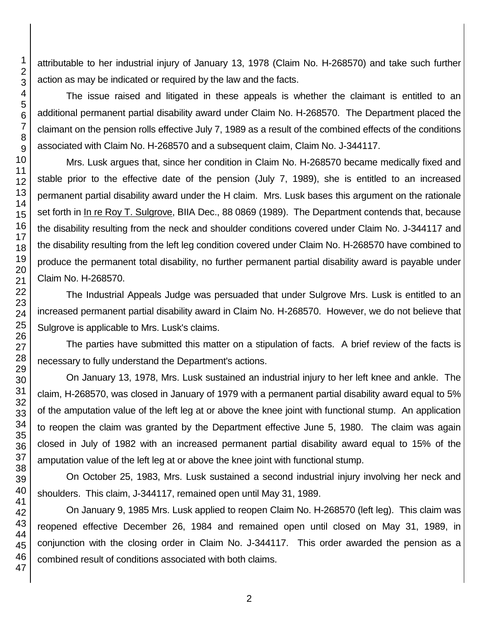attributable to her industrial injury of January 13, 1978 (Claim No. H-268570) and take such further action as may be indicated or required by the law and the facts.

The issue raised and litigated in these appeals is whether the claimant is entitled to an additional permanent partial disability award under Claim No. H-268570. The Department placed the claimant on the pension rolls effective July 7, 1989 as a result of the combined effects of the conditions associated with Claim No. H-268570 and a subsequent claim, Claim No. J-344117.

Mrs. Lusk argues that, since her condition in Claim No. H-268570 became medically fixed and stable prior to the effective date of the pension (July 7, 1989), she is entitled to an increased permanent partial disability award under the H claim. Mrs. Lusk bases this argument on the rationale set forth in In re Roy T. Sulgrove, BIIA Dec., 88 0869 (1989). The Department contends that, because the disability resulting from the neck and shoulder conditions covered under Claim No. J-344117 and the disability resulting from the left leg condition covered under Claim No. H-268570 have combined to produce the permanent total disability, no further permanent partial disability award is payable under Claim No. H-268570.

The Industrial Appeals Judge was persuaded that under Sulgrove Mrs. Lusk is entitled to an increased permanent partial disability award in Claim No. H-268570. However, we do not believe that Sulgrove is applicable to Mrs. Lusk's claims.

The parties have submitted this matter on a stipulation of facts. A brief review of the facts is necessary to fully understand the Department's actions.

On January 13, 1978, Mrs. Lusk sustained an industrial injury to her left knee and ankle. The claim, H-268570, was closed in January of 1979 with a permanent partial disability award equal to 5% of the amputation value of the left leg at or above the knee joint with functional stump. An application to reopen the claim was granted by the Department effective June 5, 1980. The claim was again closed in July of 1982 with an increased permanent partial disability award equal to 15% of the amputation value of the left leg at or above the knee joint with functional stump.

On October 25, 1983, Mrs. Lusk sustained a second industrial injury involving her neck and shoulders. This claim, J-344117, remained open until May 31, 1989.

On January 9, 1985 Mrs. Lusk applied to reopen Claim No. H-268570 (left leg). This claim was reopened effective December 26, 1984 and remained open until closed on May 31, 1989, in conjunction with the closing order in Claim No. J-344117. This order awarded the pension as a combined result of conditions associated with both claims.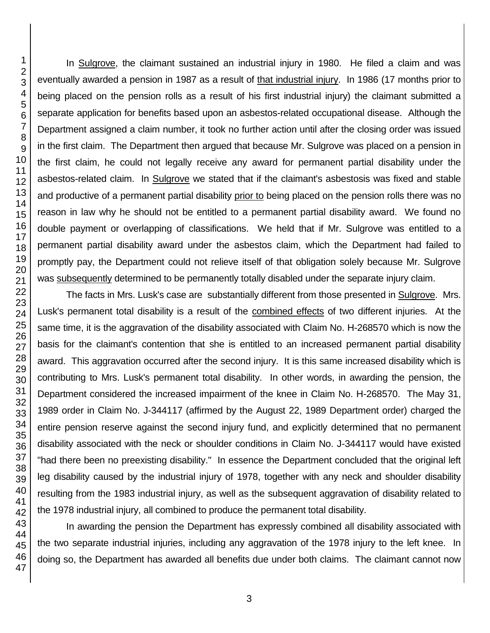In Sulgrove, the claimant sustained an industrial injury in 1980. He filed a claim and was eventually awarded a pension in 1987 as a result of that industrial injury. In 1986 (17 months prior to being placed on the pension rolls as a result of his first industrial injury) the claimant submitted a separate application for benefits based upon an asbestos-related occupational disease. Although the Department assigned a claim number, it took no further action until after the closing order was issued in the first claim. The Department then argued that because Mr. Sulgrove was placed on a pension in the first claim, he could not legally receive any award for permanent partial disability under the asbestos-related claim. In Sulgrove we stated that if the claimant's asbestosis was fixed and stable and productive of a permanent partial disability prior to being placed on the pension rolls there was no reason in law why he should not be entitled to a permanent partial disability award. We found no double payment or overlapping of classifications. We held that if Mr. Sulgrove was entitled to a permanent partial disability award under the asbestos claim, which the Department had failed to promptly pay, the Department could not relieve itself of that obligation solely because Mr. Sulgrove was subsequently determined to be permanently totally disabled under the separate injury claim.

The facts in Mrs. Lusk's case are substantially different from those presented in Sulgrove. Mrs. Lusk's permanent total disability is a result of the combined effects of two different injuries. At the same time, it is the aggravation of the disability associated with Claim No. H-268570 which is now the basis for the claimant's contention that she is entitled to an increased permanent partial disability award. This aggravation occurred after the second injury. It is this same increased disability which is contributing to Mrs. Lusk's permanent total disability. In other words, in awarding the pension, the Department considered the increased impairment of the knee in Claim No. H-268570. The May 31, 1989 order in Claim No. J-344117 (affirmed by the August 22, 1989 Department order) charged the entire pension reserve against the second injury fund, and explicitly determined that no permanent disability associated with the neck or shoulder conditions in Claim No. J-344117 would have existed "had there been no preexisting disability." In essence the Department concluded that the original left leg disability caused by the industrial injury of 1978, together with any neck and shoulder disability resulting from the 1983 industrial injury, as well as the subsequent aggravation of disability related to the 1978 industrial injury, all combined to produce the permanent total disability.

In awarding the pension the Department has expressly combined all disability associated with the two separate industrial injuries, including any aggravation of the 1978 injury to the left knee. In doing so, the Department has awarded all benefits due under both claims. The claimant cannot now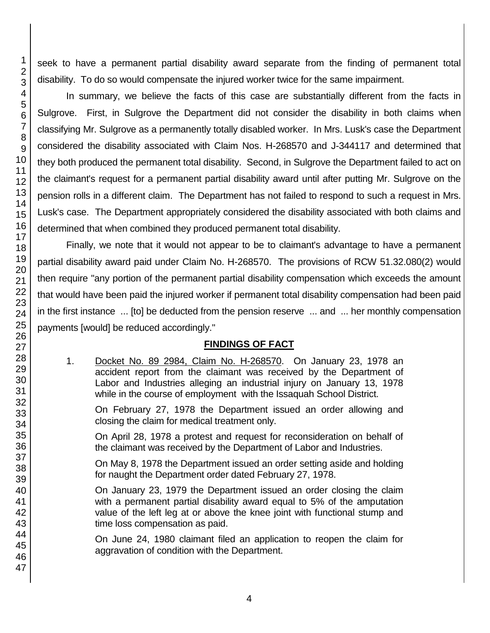seek to have a permanent partial disability award separate from the finding of permanent total disability. To do so would compensate the injured worker twice for the same impairment.

In summary, we believe the facts of this case are substantially different from the facts in Sulgrove. First, in Sulgrove the Department did not consider the disability in both claims when classifying Mr. Sulgrove as a permanently totally disabled worker. In Mrs. Lusk's case the Department considered the disability associated with Claim Nos. H-268570 and J-344117 and determined that they both produced the permanent total disability. Second, in Sulgrove the Department failed to act on the claimant's request for a permanent partial disability award until after putting Mr. Sulgrove on the pension rolls in a different claim. The Department has not failed to respond to such a request in Mrs. Lusk's case. The Department appropriately considered the disability associated with both claims and determined that when combined they produced permanent total disability.

Finally, we note that it would not appear to be to claimant's advantage to have a permanent partial disability award paid under Claim No. H-268570. The provisions of RCW 51.32.080(2) would then require "any portion of the permanent partial disability compensation which exceeds the amount that would have been paid the injured worker if permanent total disability compensation had been paid in the first instance ... [to] be deducted from the pension reserve ... and ... her monthly compensation payments [would] be reduced accordingly."

# **FINDINGS OF FACT**

1. Docket No. 89 2984, Claim No. H-268570. On January 23, 1978 an accident report from the claimant was received by the Department of Labor and Industries alleging an industrial injury on January 13, 1978 while in the course of employment with the Issaquah School District.

On February 27, 1978 the Department issued an order allowing and closing the claim for medical treatment only.

On April 28, 1978 a protest and request for reconsideration on behalf of the claimant was received by the Department of Labor and Industries.

On May 8, 1978 the Department issued an order setting aside and holding for naught the Department order dated February 27, 1978.

On January 23, 1979 the Department issued an order closing the claim with a permanent partial disability award equal to 5% of the amputation value of the left leg at or above the knee joint with functional stump and time loss compensation as paid.

On June 24, 1980 claimant filed an application to reopen the claim for aggravation of condition with the Department.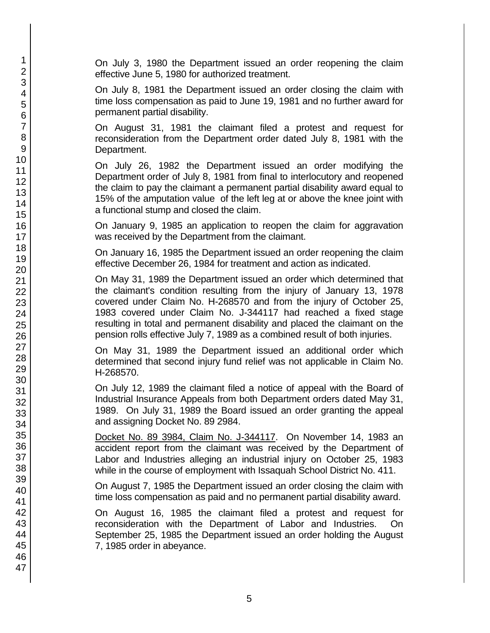On July 3, 1980 the Department issued an order reopening the claim effective June 5, 1980 for authorized treatment.

On July 8, 1981 the Department issued an order closing the claim with time loss compensation as paid to June 19, 1981 and no further award for permanent partial disability.

On August 31, 1981 the claimant filed a protest and request for reconsideration from the Department order dated July 8, 1981 with the Department.

On July 26, 1982 the Department issued an order modifying the Department order of July 8, 1981 from final to interlocutory and reopened the claim to pay the claimant a permanent partial disability award equal to 15% of the amputation value of the left leg at or above the knee joint with a functional stump and closed the claim.

On January 9, 1985 an application to reopen the claim for aggravation was received by the Department from the claimant.

On January 16, 1985 the Department issued an order reopening the claim effective December 26, 1984 for treatment and action as indicated.

On May 31, 1989 the Department issued an order which determined that the claimant's condition resulting from the injury of January 13, 1978 covered under Claim No. H-268570 and from the injury of October 25, 1983 covered under Claim No. J-344117 had reached a fixed stage resulting in total and permanent disability and placed the claimant on the pension rolls effective July 7, 1989 as a combined result of both injuries.

On May 31, 1989 the Department issued an additional order which determined that second injury fund relief was not applicable in Claim No. H-268570.

On July 12, 1989 the claimant filed a notice of appeal with the Board of Industrial Insurance Appeals from both Department orders dated May 31, 1989. On July 31, 1989 the Board issued an order granting the appeal and assigning Docket No. 89 2984.

Docket No. 89 3984, Claim No. J-344117. On November 14, 1983 an accident report from the claimant was received by the Department of Labor and Industries alleging an industrial injury on October 25, 1983 while in the course of employment with Issaquah School District No. 411.

On August 7, 1985 the Department issued an order closing the claim with time loss compensation as paid and no permanent partial disability award.

On August 16, 1985 the claimant filed a protest and request for reconsideration with the Department of Labor and Industries. On September 25, 1985 the Department issued an order holding the August 7, 1985 order in abeyance.

1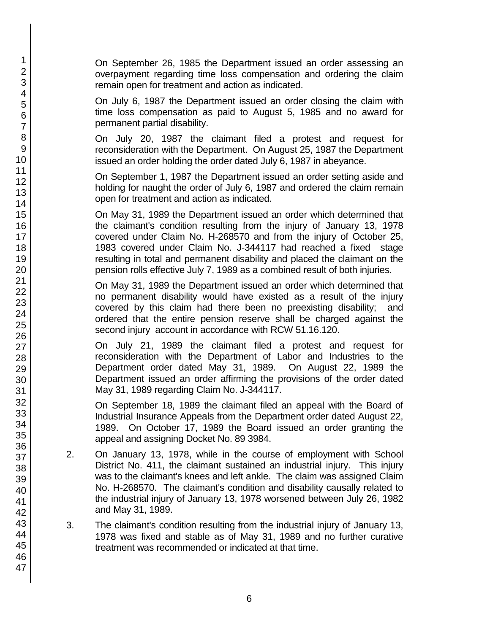On September 26, 1985 the Department issued an order assessing an overpayment regarding time loss compensation and ordering the claim remain open for treatment and action as indicated.

On July 6, 1987 the Department issued an order closing the claim with time loss compensation as paid to August 5, 1985 and no award for permanent partial disability.

On July 20, 1987 the claimant filed a protest and request for reconsideration with the Department. On August 25, 1987 the Department issued an order holding the order dated July 6, 1987 in abeyance.

On September 1, 1987 the Department issued an order setting aside and holding for naught the order of July 6, 1987 and ordered the claim remain open for treatment and action as indicated.

On May 31, 1989 the Department issued an order which determined that the claimant's condition resulting from the injury of January 13, 1978 covered under Claim No. H-268570 and from the injury of October 25, 1983 covered under Claim No. J-344117 had reached a fixed stage resulting in total and permanent disability and placed the claimant on the pension rolls effective July 7, 1989 as a combined result of both injuries.

On May 31, 1989 the Department issued an order which determined that no permanent disability would have existed as a result of the injury covered by this claim had there been no preexisting disability; and ordered that the entire pension reserve shall be charged against the second injury account in accordance with RCW 51.16.120.

On July 21, 1989 the claimant filed a protest and request for reconsideration with the Department of Labor and Industries to the Department order dated May 31, 1989. On August 22, 1989 the Department issued an order affirming the provisions of the order dated May 31, 1989 regarding Claim No. J-344117.

On September 18, 1989 the claimant filed an appeal with the Board of Industrial Insurance Appeals from the Department order dated August 22, 1989. On October 17, 1989 the Board issued an order granting the appeal and assigning Docket No. 89 3984.

- 2. On January 13, 1978, while in the course of employment with School District No. 411, the claimant sustained an industrial injury. This injury was to the claimant's knees and left ankle. The claim was assigned Claim No. H-268570. The claimant's condition and disability causally related to the industrial injury of January 13, 1978 worsened between July 26, 1982 and May 31, 1989.
- 3. The claimant's condition resulting from the industrial injury of January 13, 1978 was fixed and stable as of May 31, 1989 and no further curative treatment was recommended or indicated at that time.

1